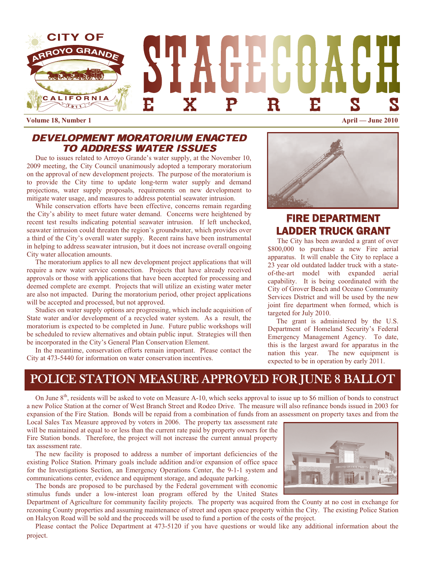

**Volume 18, Number 1 April — June 2010** 

## DEVELOPMENT MORATORIUM ENACTED TO ADDRESS WATER ISSUES

 Due to issues related to Arroyo Grande's water supply, at the November 10, 2009 meeting, the City Council unanimously adopted a temporary moratorium on the approval of new development projects. The purpose of the moratorium is to provide the City time to update long-term water supply and demand projections, water supply proposals, requirements on new development to mitigate water usage, and measures to address potential seawater intrusion.

 While conservation efforts have been effective, concerns remain regarding the City's ability to meet future water demand. Concerns were heightened by recent test results indicating potential seawater intrusion. If left unchecked, seawater intrusion could threaten the region's groundwater, which provides over a third of the City's overall water supply. Recent rains have been instrumental in helping to address seawater intrusion, but it does not increase overall ongoing City water allocation amounts.

 The moratorium applies to all new development project applications that will require a new water service connection. Projects that have already received approvals or those with applications that have been accepted for processing and deemed complete are exempt. Projects that will utilize an existing water meter are also not impacted. During the moratorium period, other project applications will be accepted and processed, but not approved.

 Studies on water supply options are progressing, which include acquisition of State water and/or development of a recycled water system. As a result, the moratorium is expected to be completed in June. Future public workshops will be scheduled to review alternatives and obtain public input. Strategies will then be incorporated in the City's General Plan Conservation Element.

 In the meantime, conservation efforts remain important. Please contact the City at 473-5440 for information on water conservation incentives.



# FIRE DEPARTMENT LADDER TRUCK GRANT

The City has been awarded a grant of over \$800,000 to purchase a new Fire aerial apparatus. It will enable the City to replace a 23 year old outdated ladder truck with a stateof-the-art model with expanded aerial capability. It is being coordinated with the City of Grover Beach and Oceano Community Services District and will be used by the new joint fire department when formed, which is targeted for July 2010.

 The grant is administered by the U.S. Department of Homeland Security's Federal Emergency Management Agency. To date, this is the largest award for apparatus in the nation this year. The new equipment is expected to be in operation by early 2011.

# POLICE STATION MEASURE APPROVED FOR JUNE 8 BALLOT

On June 8<sup>th</sup>, residents will be asked to vote on Measure A-10, which seeks approval to issue up to \$6 million of bonds to construct a new Police Station at the corner of West Branch Street and Rodeo Drive. The measure will also refinance bonds issued in 2003 for expansion of the Fire Station. Bonds will be repaid from a combination of funds from an assessment on property taxes and from the

Local Sales Tax Measure approved by voters in 2006. The property tax assessment rate will be maintained at equal to or less than the current rate paid by property owners for the Fire Station bonds. Therefore, the project will not increase the current annual property tax assessment rate.

 The new facility is proposed to address a number of important deficiencies of the existing Police Station. Primary goals include addition and/or expansion of office space for the Investigations Section, an Emergency Operations Center, the 9-1-1 system and communications center, evidence and equipment storage, and adequate parking.

 The bonds are proposed to be purchased by the Federal government with economic stimulus funds under a low-interest loan program offered by the United States



Department of Agriculture for community facility projects. The property was acquired from the County at no cost in exchange for rezoning County properties and assuming maintenance of street and open space property within the City. The existing Police Station on Halcyon Road will be sold and the proceeds will be used to fund a portion of the costs of the project.

 Please contact the Police Department at 473-5120 if you have questions or would like any additional information about the project.